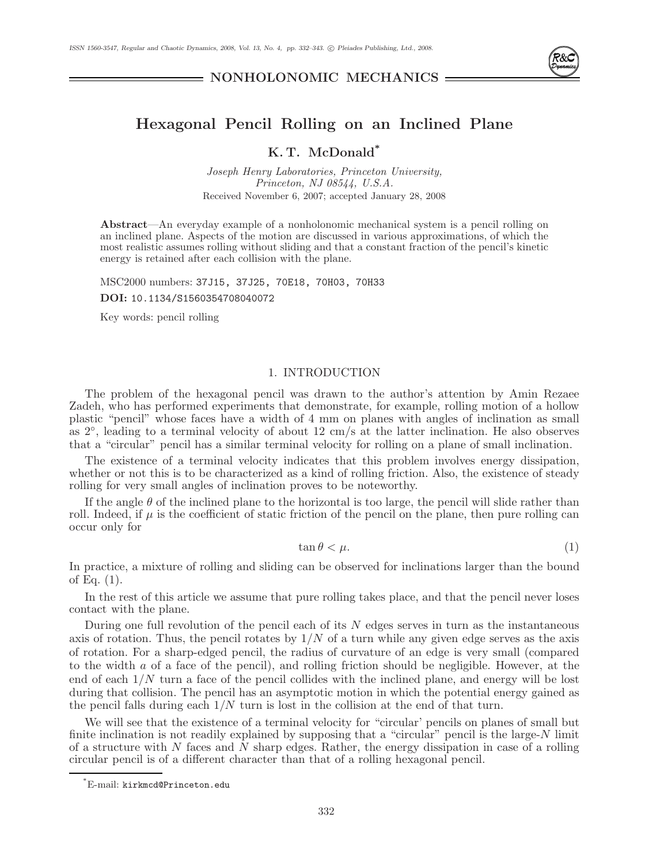

**NONHOLONOMIC MECHANICS**

# **Hexagonal Pencil Rolling on an Inclined Plane**

## **K. T. McDonald\***

Joseph Henry Laboratories, Princeton University, Princeton, NJ 08544, U.S.A. Received November 6, 2007; accepted January 28, 2008

**Abstract**—An everyday example of a nonholonomic mechanical system is a pencil rolling on an inclined plane. Aspects of the motion are discussed in various approximations, of which the most realistic assumes rolling without sliding and that a constant fraction of the pencil's kinetic energy is retained after each collision with the plane.

MSC2000 numbers: 37J15, 37J25, 70E18, 70H03, 70H33 **DOI:** 10.1134/S1560354708040072

Key words: pencil rolling

### 1. INTRODUCTION

The problem of the hexagonal pencil was drawn to the author's attention by Amin Rezaee Zadeh, who has performed experiments that demonstrate, for example, rolling motion of a hollow plastic "pencil" whose faces have a width of 4 mm on planes with angles of inclination as small as 2◦, leading to a terminal velocity of about 12 cm/s at the latter inclination. He also observes that a "circular" pencil has a similar terminal velocity for rolling on a plane of small inclination.

The existence of a terminal velocity indicates that this problem involves energy dissipation, whether or not this is to be characterized as a kind of rolling friction. Also, the existence of steady rolling for very small angles of inclination proves to be noteworthy.

If the angle  $\theta$  of the inclined plane to the horizontal is too large, the pencil will slide rather than roll. Indeed, if  $\mu$  is the coefficient of static friction of the pencil on the plane, then pure rolling can occur only for

$$
\tan \theta < \mu. \tag{1}
$$

In practice, a mixture of rolling and sliding can be observed for inclinations larger than the bound of Eq. (1).

In the rest of this article we assume that pure rolling takes place, and that the pencil never loses contact with the plane.

During one full revolution of the pencil each of its N edges serves in turn as the instantaneous axis of rotation. Thus, the pencil rotates by  $1/N$  of a turn while any given edge serves as the axis of rotation. For a sharp-edged pencil, the radius of curvature of an edge is very small (compared to the width a of a face of the pencil), and rolling friction should be negligible. However, at the end of each 1/N turn a face of the pencil collides with the inclined plane, and energy will be lost during that collision. The pencil has an asymptotic motion in which the potential energy gained as the pencil falls during each  $1/N$  turn is lost in the collision at the end of that turn.

We will see that the existence of a terminal velocity for "circular" pencils on planes of small but finite inclination is not readily explained by supposing that a "circular" pencil is the large-N limit of a structure with N faces and N sharp edges. Rather, the energy dissipation in case of a rolling circular pencil is of a different character than that of a rolling hexagonal pencil.

 $\mathrm{^*E}\text{-mail: kirkmed@Princeton.edu}$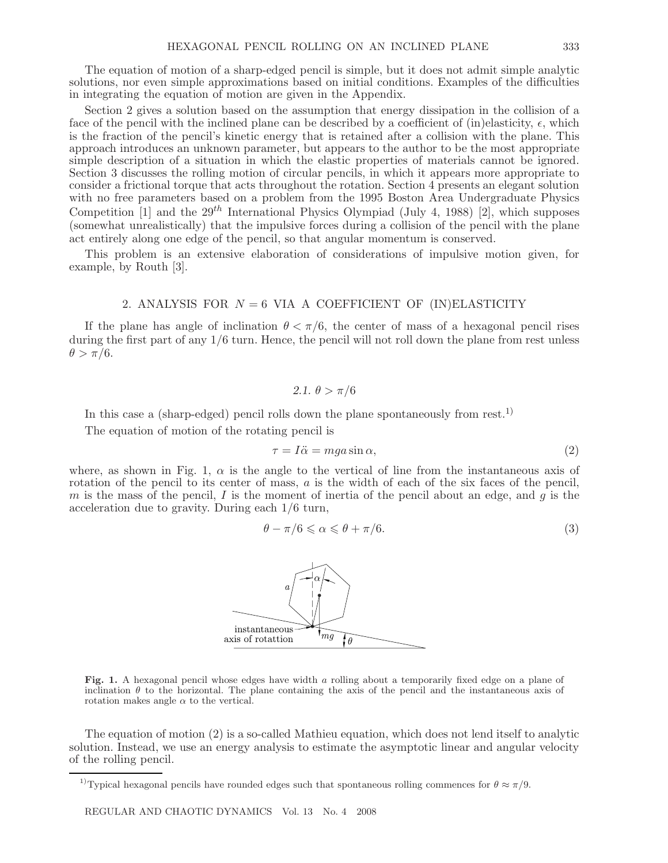The equation of motion of a sharp-edged pencil is simple, but it does not admit simple analytic solutions, nor even simple approximations based on initial conditions. Examples of the difficulties in integrating the equation of motion are given in the Appendix.

Section 2 gives a solution based on the assumption that energy dissipation in the collision of a face of the pencil with the inclined plane can be described by a coefficient of (in)elasticity,  $\epsilon$ , which is the fraction of the pencil's kinetic energy that is retained after a collision with the plane. This approach introduces an unknown parameter, but appears to the author to be the most appropriate simple description of a situation in which the elastic properties of materials cannot be ignored. Section 3 discusses the rolling motion of circular pencils, in which it appears more appropriate to consider a frictional torque that acts throughout the rotation. Section 4 presents an elegant solution with no free parameters based on a problem from the 1995 Boston Area Undergraduate Physics Competition [1] and the  $29^{th}$  International Physics Olympiad (July 4, 1988) [2], which supposes (somewhat unrealistically) that the impulsive forces during a collision of the pencil with the plane act entirely along one edge of the pencil, so that angular momentum is conserved.

This problem is an extensive elaboration of considerations of impulsive motion given, for example, by Routh [3].

### 2. ANALYSIS FOR  $N = 6$  VIA A COEFFICIENT OF (IN)ELASTICITY

If the plane has angle of inclination  $\theta < \pi/6$ , the center of mass of a hexagonal pencil rises during the first part of any 1/6 turn. Hence, the pencil will not roll down the plane from rest unless  $\theta > \pi/6$ .

2.1. 
$$
\theta > \pi/6
$$

In this case a (sharp-edged) pencil rolls down the plane spontaneously from rest.<sup>1)</sup>

The equation of motion of the rotating pencil is

$$
\tau = I\ddot{\alpha} = mga\sin\alpha,\tag{2}
$$

where, as shown in Fig. 1,  $\alpha$  is the angle to the vertical of line from the instantaneous axis of rotation of the pencil to its center of mass,  $a$  is the width of each of the six faces of the pencil, m is the mass of the pencil, I is the moment of inertia of the pencil about an edge, and  $q$  is the acceleration due to gravity. During each 1/6 turn,

$$
\theta - \pi/6 \leq \alpha \leq \theta + \pi/6. \tag{3}
$$



**Fig. 1.** A hexagonal pencil whose edges have width a rolling about a temporarily fixed edge on a plane of inclination  $\theta$  to the horizontal. The plane containing the axis of the pencil and the instantaneous axis of rotation makes angle  $\alpha$  to the vertical.

The equation of motion (2) is a so-called Mathieu equation, which does not lend itself to analytic solution. Instead, we use an energy analysis to estimate the asymptotic linear and angular velocity of the rolling pencil.

<sup>&</sup>lt;sup>1)</sup>Typical hexagonal pencils have rounded edges such that spontaneous rolling commences for  $\theta \approx \pi/9$ .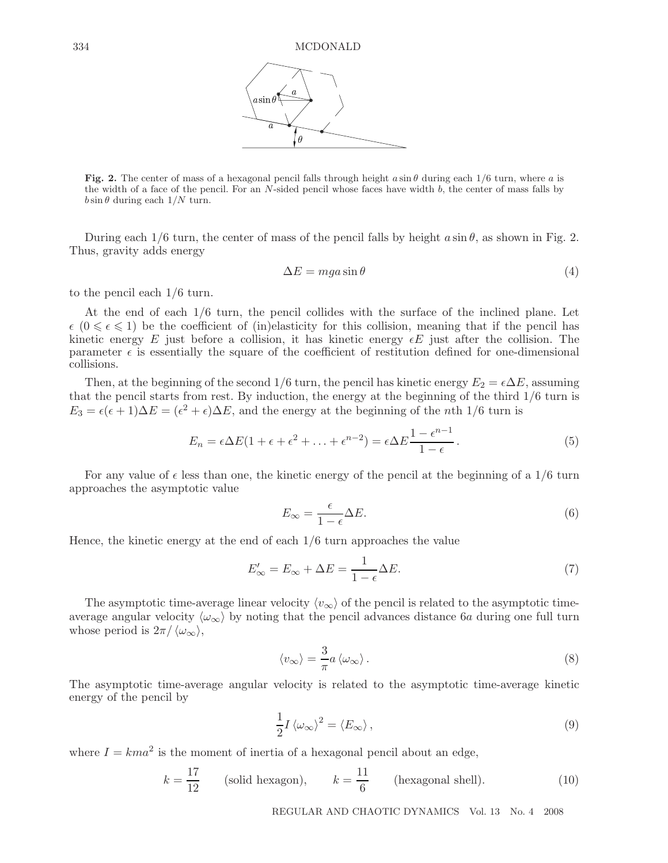

**Fig. 2.** The center of mass of a hexagonal pencil falls through height  $a \sin \theta$  during each  $1/6$  turn, where a is the width of a face of the pencil. For an  $N$ -sided pencil whose faces have width  $b$ , the center of mass falls by  $b \sin \theta$  during each  $1/N$  turn.

During each  $1/6$  turn, the center of mass of the pencil falls by height  $a \sin \theta$ , as shown in Fig. 2. Thus, gravity adds energy

$$
\Delta E = mga \sin \theta \tag{4}
$$

to the pencil each 1/6 turn.

At the end of each 1/6 turn, the pencil collides with the surface of the inclined plane. Let  $\epsilon$  ( $0 \leq \epsilon \leq 1$ ) be the coefficient of (in)elasticity for this collision, meaning that if the pencil has kinetic energy E just before a collision, it has kinetic energy  $\epsilon E$  just after the collision. The parameter  $\epsilon$  is essentially the square of the coefficient of restitution defined for one-dimensional collisions.

Then, at the beginning of the second 1/6 turn, the pencil has kinetic energy  $E_2 = \epsilon \Delta E$ , assuming that the pencil starts from rest. By induction, the energy at the beginning of the third 1/6 turn is  $E_3 = \epsilon(\epsilon + 1)\Delta E = (\epsilon^2 + \epsilon)\Delta E$ , and the energy at the beginning of the nth 1/6 turn is

$$
E_n = \epsilon \Delta E (1 + \epsilon + \epsilon^2 + \ldots + \epsilon^{n-2}) = \epsilon \Delta E \frac{1 - \epsilon^{n-1}}{1 - \epsilon}.
$$
 (5)

For any value of  $\epsilon$  less than one, the kinetic energy of the pencil at the beginning of a 1/6 turn approaches the asymptotic value

$$
E_{\infty} = \frac{\epsilon}{1 - \epsilon} \Delta E. \tag{6}
$$

Hence, the kinetic energy at the end of each 1/6 turn approaches the value

$$
E'_{\infty} = E_{\infty} + \Delta E = \frac{1}{1 - \epsilon} \Delta E.
$$
\n(7)

The asymptotic time-average linear velocity  $\langle v_{\infty} \rangle$  of the pencil is related to the asymptotic timeaverage angular velocity  $\langle \omega_{\infty} \rangle$  by noting that the pencil advances distance 6a during one full turn whose period is  $2\pi / \langle \omega_{\infty} \rangle$ ,

$$
\langle v_{\infty} \rangle = \frac{3}{\pi} a \langle \omega_{\infty} \rangle.
$$
 (8)

The asymptotic time-average angular velocity is related to the asymptotic time-average kinetic energy of the pencil by

$$
\frac{1}{2}I\left\langle \omega_{\infty}\right\rangle ^{2}=\left\langle E_{\infty}\right\rangle ,\tag{9}
$$

where  $I = kma^2$  is the moment of inertia of a hexagonal pencil about an edge,

$$
k = \frac{17}{12}
$$
 (solid hexagon),  $k = \frac{11}{6}$  (hexagonal shell). (10)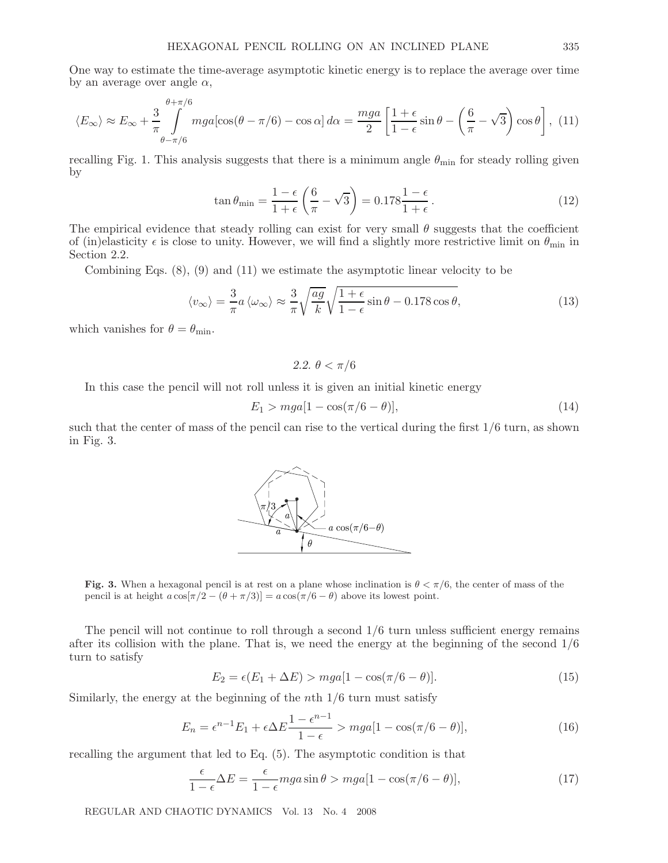One way to estimate the time-average asymptotic kinetic energy is to replace the average over time by an average over angle  $\alpha$ ,

$$
\langle E_{\infty} \rangle \approx E_{\infty} + \frac{3}{\pi} \int_{\theta - \pi/6}^{\theta + \pi/6} mga[\cos(\theta - \pi/6) - \cos \alpha] d\alpha = \frac{mga}{2} \left[ \frac{1 + \epsilon}{1 - \epsilon} \sin \theta - \left( \frac{6}{\pi} - \sqrt{3} \right) \cos \theta \right], (11)
$$

recalling Fig. 1. This analysis suggests that there is a minimum angle  $\theta_{\min}$  for steady rolling given by

$$
\tan \theta_{\min} = \frac{1 - \epsilon}{1 + \epsilon} \left( \frac{6}{\pi} - \sqrt{3} \right) = 0.178 \frac{1 - \epsilon}{1 + \epsilon}.
$$
\n(12)

The empirical evidence that steady rolling can exist for very small  $\theta$  suggests that the coefficient of (in)elasticity  $\epsilon$  is close to unity. However, we will find a slightly more restrictive limit on  $\theta_{\min}$  in Section 2.2.

Combining Eqs. (8), (9) and (11) we estimate the asymptotic linear velocity to be

$$
\langle v_{\infty} \rangle = \frac{3}{\pi} a \langle \omega_{\infty} \rangle \approx \frac{3}{\pi} \sqrt{\frac{ag}{k}} \sqrt{\frac{1+\epsilon}{1-\epsilon}} \sin \theta - 0.178 \cos \theta, \tag{13}
$$

which vanishes for  $\theta = \theta_{\min}$ .

2.2. 
$$
\theta < \pi/6
$$

In this case the pencil will not roll unless it is given an initial kinetic energy

 $E_1 > mga[1 - \cos(\pi/6 - \theta)],$  (14)

such that the center of mass of the pencil can rise to the vertical during the first 1/6 turn, as shown in Fig. 3.

**Fig. 3.** When a hexagonal pencil is at rest on a plane whose inclination is  $\theta < \pi/6$ , the center of mass of the pencil is at height  $a \cos[\pi/2 - (\theta + \pi/3)] = a \cos(\pi/6 - \theta)$  above its lowest point.

The pencil will not continue to roll through a second  $1/6$  turn unless sufficient energy remains after its collision with the plane. That is, we need the energy at the beginning of the second 1/6 turn to satisfy

$$
E_2 = \epsilon (E_1 + \Delta E) > mga[1 - \cos(\pi/6 - \theta)].
$$
\n(15)

Similarly, the energy at the beginning of the nth  $1/6$  turn must satisfy

$$
E_n = \epsilon^{n-1} E_1 + \epsilon \Delta E \frac{1 - \epsilon^{n-1}}{1 - \epsilon} > mga[1 - \cos(\pi/6 - \theta)],\tag{16}
$$

recalling the argument that led to Eq. (5). The asymptotic condition is that

$$
\frac{\epsilon}{1-\epsilon}\Delta E = \frac{\epsilon}{1-\epsilon} mga\sin\theta > mga[1-\cos(\pi/6-\theta)],\tag{17}
$$

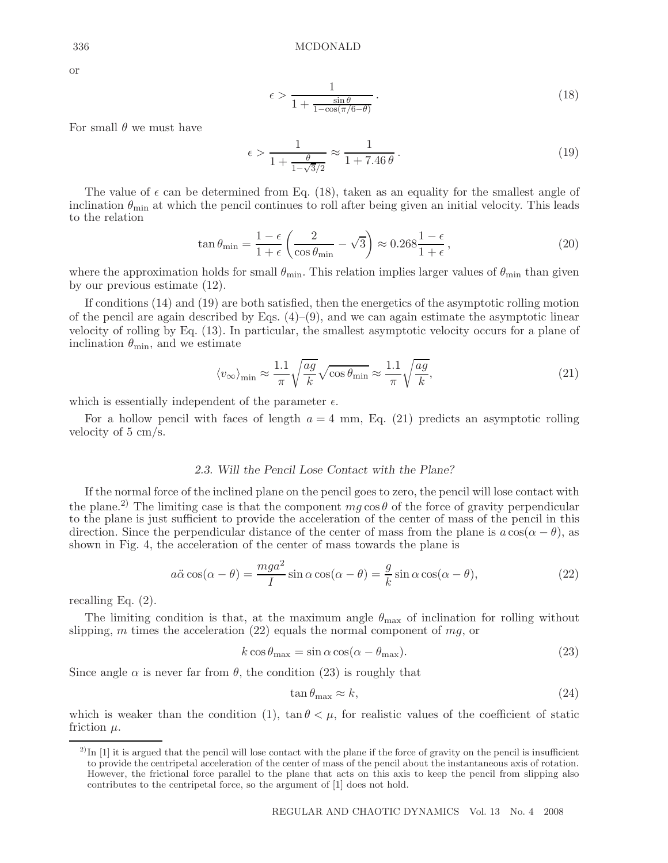or

$$
\epsilon > \frac{1}{1 + \frac{\sin \theta}{1 - \cos(\pi/6 - \theta)}}.
$$
\n(18)

For small  $\theta$  we must have

$$
\epsilon > \frac{1}{1 + \frac{\theta}{1 - \sqrt{3}/2}} \approx \frac{1}{1 + 7.46 \,\theta} \,. \tag{19}
$$

The value of  $\epsilon$  can be determined from Eq. (18), taken as an equality for the smallest angle of inclination  $\theta_{\min}$  at which the pencil continues to roll after being given an initial velocity. This leads to the relation

$$
\tan \theta_{\min} = \frac{1 - \epsilon}{1 + \epsilon} \left( \frac{2}{\cos \theta_{\min}} - \sqrt{3} \right) \approx 0.268 \frac{1 - \epsilon}{1 + \epsilon},\tag{20}
$$

where the approximation holds for small  $\theta_{\min}$ . This relation implies larger values of  $\theta_{\min}$  than given by our previous estimate (12).

If conditions (14) and (19) are both satisfied, then the energetics of the asymptotic rolling motion of the pencil are again described by Eqs.  $(4)$ – $(9)$ , and we can again estimate the asymptotic linear velocity of rolling by Eq. (13). In particular, the smallest asymptotic velocity occurs for a plane of inclination  $\theta_{\min}$ , and we estimate

$$
\langle v_{\infty} \rangle_{\text{min}} \approx \frac{1.1}{\pi} \sqrt{\frac{ag}{k}} \sqrt{\cos \theta_{\text{min}}} \approx \frac{1.1}{\pi} \sqrt{\frac{ag}{k}},\tag{21}
$$

which is essentially independent of the parameter  $\epsilon$ .

For a hollow pencil with faces of length  $a = 4$  mm, Eq. (21) predicts an asymptotic rolling velocity of 5 cm/s.

## *2.3. Will the Pencil Lose Contact with the Plane?*

If the normal force of the inclined plane on the pencil goes to zero, the pencil will lose contact with the plane.<sup>2)</sup> The limiting case is that the component  $mg \cos \theta$  of the force of gravity perpendicular to the plane is just sufficient to provide the acceleration of the center of mass of the pencil in this direction. Since the perpendicular distance of the center of mass from the plane is  $a\cos(\alpha - \theta)$ , as shown in Fig. 4, the acceleration of the center of mass towards the plane is

$$
a\ddot{\alpha}\cos(\alpha-\theta) = \frac{mga^2}{I}\sin\alpha\cos(\alpha-\theta) = \frac{g}{k}\sin\alpha\cos(\alpha-\theta),\tag{22}
$$

recalling Eq. (2).

The limiting condition is that, at the maximum angle  $\theta_{\text{max}}$  of inclination for rolling without slipping, m times the acceleration (22) equals the normal component of  $mg$ , or

$$
k \cos \theta_{\text{max}} = \sin \alpha \cos(\alpha - \theta_{\text{max}}). \tag{23}
$$

Since angle  $\alpha$  is never far from  $\theta$ , the condition (23) is roughly that

$$
\tan \theta_{\text{max}} \approx k,\tag{24}
$$

which is weaker than the condition (1),  $\tan \theta < \mu$ , for realistic values of the coefficient of static friction  $\mu$ .

 $^{2)}$ In [1] it is argued that the pencil will lose contact with the plane if the force of gravity on the pencil is insufficient to provide the centripetal acceleration of the center of mass of the pencil about the instantaneous axis of rotation. However, the frictional force parallel to the plane that acts on this axis to keep the pencil from slipping also contributes to the centripetal force, so the argument of [1] does not hold.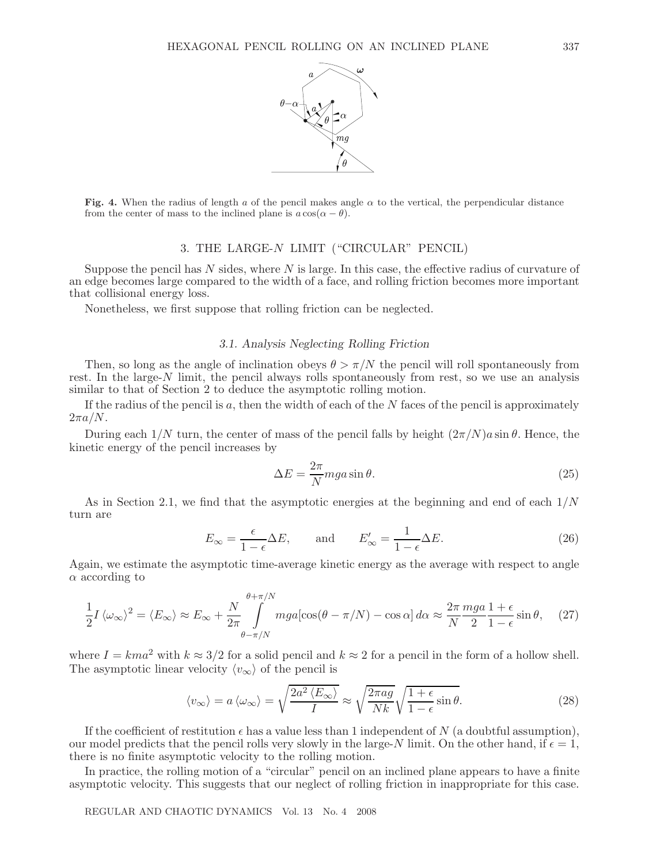

**Fig. 4.** When the radius of length a of the pencil makes angle  $\alpha$  to the vertical, the perpendicular distance from the center of mass to the inclined plane is  $a \cos(\alpha - \theta)$ .

## 3. THE LARGE-N LIMIT ("CIRCULAR" PENCIL)

Suppose the pencil has  $N$  sides, where  $N$  is large. In this case, the effective radius of curvature of an edge becomes large compared to the width of a face, and rolling friction becomes more important that collisional energy loss.

Nonetheless, we first suppose that rolling friction can be neglected.

## *3.1. Analysis Neglecting Rolling Friction*

Then, so long as the angle of inclination obeys  $\theta > \pi/N$  the pencil will roll spontaneously from rest. In the large- $N$  limit, the pencil always rolls spontaneously from rest, so we use an analysis similar to that of Section 2 to deduce the asymptotic rolling motion.

If the radius of the pencil is  $a$ , then the width of each of the  $N$  faces of the pencil is approximately  $2\pi a/N$ .

During each  $1/N$  turn, the center of mass of the pencil falls by height  $(2\pi/N)a\sin\theta$ . Hence, the kinetic energy of the pencil increases by

$$
\Delta E = \frac{2\pi}{N} mga \sin \theta. \tag{25}
$$

As in Section 2.1, we find that the asymptotic energies at the beginning and end of each  $1/N$ turn are

$$
E_{\infty} = \frac{\epsilon}{1 - \epsilon} \Delta E, \quad \text{and} \quad E'_{\infty} = \frac{1}{1 - \epsilon} \Delta E. \tag{26}
$$

Again, we estimate the asymptotic time-average kinetic energy as the average with respect to angle  $\alpha$  according to

$$
\frac{1}{2}I\left\langle\omega_{\infty}\right\rangle^{2} = \left\langle E_{\infty}\right\rangle \approx E_{\infty} + \frac{N}{2\pi} \int_{\theta - \pi/N}^{\theta + \pi/N} mg a [\cos(\theta - \pi/N) - \cos\alpha] \, d\alpha \approx \frac{2\pi}{N} \frac{mg a}{2} \frac{1 + \epsilon}{1 - \epsilon} \sin\theta, \tag{27}
$$

where  $I = kma^2$  with  $k \approx 3/2$  for a solid pencil and  $k \approx 2$  for a pencil in the form of a hollow shell. The asymptotic linear velocity  $\langle v_{\infty} \rangle$  of the pencil is

$$
\langle v_{\infty} \rangle = a \langle \omega_{\infty} \rangle = \sqrt{\frac{2a^2 \langle E_{\infty} \rangle}{I}} \approx \sqrt{\frac{2\pi a g}{Nk}} \sqrt{\frac{1+\epsilon}{1-\epsilon}} \sin \theta.
$$
 (28)

If the coefficient of restitution  $\epsilon$  has a value less than 1 independent of N (a doubtful assumption), our model predicts that the pencil rolls very slowly in the large-N limit. On the other hand, if  $\epsilon = 1$ , there is no finite asymptotic velocity to the rolling motion.

In practice, the rolling motion of a "circular" pencil on an inclined plane appears to have a finite asymptotic velocity. This suggests that our neglect of rolling friction in inappropriate for this case.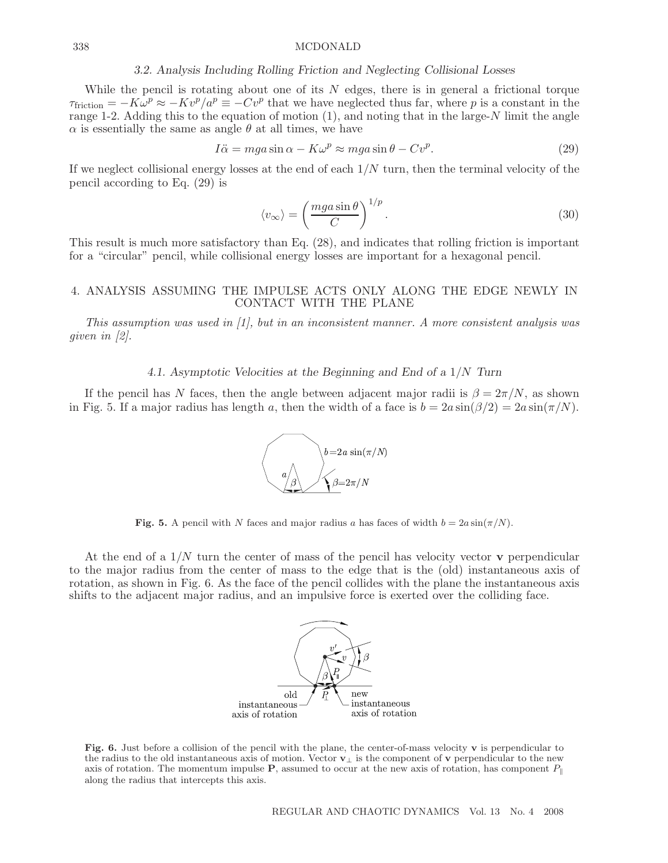#### 338 MCDONALD

#### *3.2. Analysis Including Rolling Friction and Neglecting Collisional Losses*

While the pencil is rotating about one of its  $N$  edges, there is in general a frictional torque  $\tau_{\text{friction}} = -K\omega^p \approx -Kv^p/a^p \equiv -Cv^p$  that we have neglected thus far, where p is a constant in the range 1-2. Adding this to the equation of motion (1), and noting that in the large-N limit the angle  $\alpha$  is essentially the same as angle  $\theta$  at all times, we have

$$
I\ddot{\alpha} = mga\sin\alpha - K\omega^p \approx mga\sin\theta - Cv^p. \tag{29}
$$

If we neglect collisional energy losses at the end of each  $1/N$  turn, then the terminal velocity of the pencil according to Eq. (29) is

$$
\langle v_{\infty} \rangle = \left(\frac{mga\sin\theta}{C}\right)^{1/p}.\tag{30}
$$

This result is much more satisfactory than Eq. (28), and indicates that rolling friction is important for a "circular" pencil, while collisional energy losses are important for a hexagonal pencil.

## 4. ANALYSIS ASSUMING THE IMPULSE ACTS ONLY ALONG THE EDGE NEWLY IN CONTACT WITH THE PLANE

This assumption was used in  $[1]$ , but in an inconsistent manner. A more consistent analysis was given in [2].

*4.1. Asymptotic Velocities at the Beginning and End of a* 1/N *Turn*

If the pencil has N faces, then the angle between adjacent major radii is  $\beta = 2\pi/N$ , as shown in Fig. 5. If a major radius has length a, then the width of a face is  $b = 2a \sin(\beta/2) = 2a \sin(\pi/N)$ .



**Fig. 5.** A pencil with N faces and major radius a has faces of width  $b = 2a \sin(\pi/N)$ .

At the end of a 1/N turn the center of mass of the pencil has velocity vector **v** perpendicular to the major radius from the center of mass to the edge that is the (old) instantaneous axis of rotation, as shown in Fig. 6. As the face of the pencil collides with the plane the instantaneous axis shifts to the adjacent major radius, and an impulsive force is exerted over the colliding face.



**Fig. 6.** Just before a collision of the pencil with the plane, the center-of-mass velocity **v** is perpendicular to the radius to the old instantaneous axis of motion. Vector **v**<sup>⊥</sup> is the component of **v** perpendicular to the new axis of rotation. The momentum impulse **P**, assumed to occur at the new axis of rotation, has component  $P_{\parallel}$ along the radius that intercepts this axis.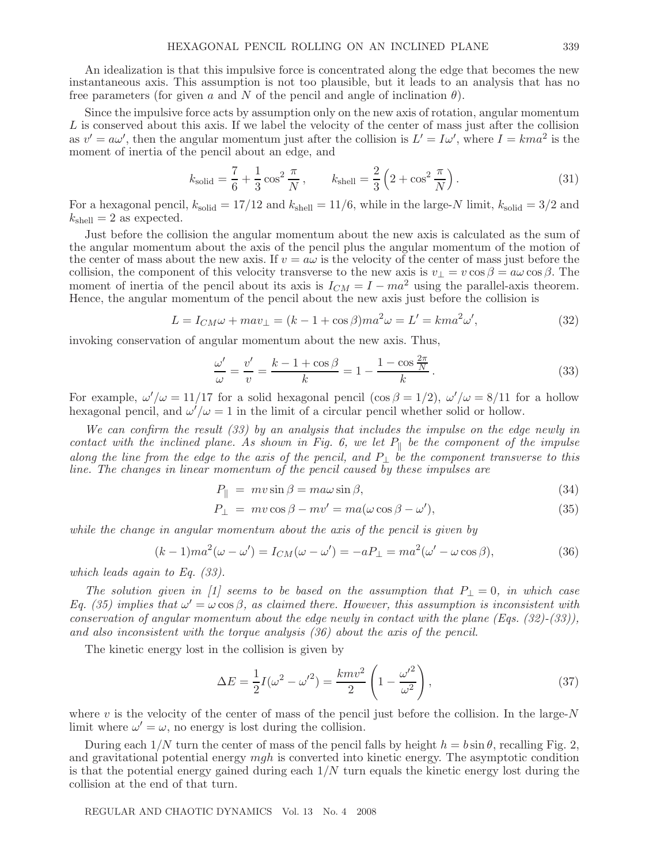An idealization is that this impulsive force is concentrated along the edge that becomes the new instantaneous axis. This assumption is not too plausible, but it leads to an analysis that has no free parameters (for given a and N of the pencil and angle of inclination  $\theta$ ).

Since the impulsive force acts by assumption only on the new axis of rotation, angular momentum L is conserved about this axis. If we label the velocity of the center of mass just after the collision as  $v' = a\omega'$ , then the angular momentum just after the collision is  $L' = I\omega'$ , where  $I = kma^2$  is the moment of inertia of the pencil about an edge, and

$$
k_{\text{solid}} = \frac{7}{6} + \frac{1}{3}\cos^2\frac{\pi}{N}, \qquad k_{\text{shell}} = \frac{2}{3}\left(2 + \cos^2\frac{\pi}{N}\right). \tag{31}
$$

For a hexagonal pencil,  $k_{\text{solid}} = 17/12$  and  $k_{\text{shell}} = 11/6$ , while in the large-N limit,  $k_{\text{solid}} = 3/2$  and  $k_{\text{shell}} = 2$  as expected.

Just before the collision the angular momentum about the new axis is calculated as the sum of the angular momentum about the axis of the pencil plus the angular momentum of the motion of the center of mass about the new axis. If  $v = a\omega$  is the velocity of the center of mass just before the collision, the component of this velocity transverse to the new axis is  $v_{\perp} = v \cos \beta = a \omega \cos \beta$ . The moment of inertia of the pencil about its axis is  $I_{CM} = I - ma^2$  using the parallel-axis theorem. Hence, the angular momentum of the pencil about the new axis just before the collision is

$$
L = I_{CM}\omega + mav_{\perp} = (k - 1 + \cos\beta)ma^2\omega = L' = kma^2\omega',\tag{32}
$$

invoking conservation of angular momentum about the new axis. Thus,

$$
\frac{\omega'}{\omega} = \frac{v'}{v} = \frac{k - 1 + \cos\beta}{k} = 1 - \frac{1 - \cos\frac{2\pi}{N}}{k}.
$$
\n(33)

For example,  $\omega'/\omega = 11/17$  for a solid hexagonal pencil  $(\cos \beta = 1/2)$ ,  $\omega'/\omega = 8/11$  for a hollow hexagonal pencil, and  $\omega'/\omega = 1$  in the limit of a circular pencil whether solid or hollow.

We can confirm the result (33) by an analysis that includes the impulse on the edge newly in contact with the inclined plane. As shown in Fig. 6, we let  $P_{\parallel}$  be the component of the impulse along the line from the edge to the axis of the pencil, and  $P_{\perp}$  be the component transverse to this line. The changes in linear momentum of the pencil caused by these impulses are

$$
P_{\parallel} = mv\sin\beta = ma\omega\sin\beta, \tag{34}
$$

$$
P_{\perp} = mv \cos \beta - mv' = ma(\omega \cos \beta - \omega'), \qquad (35)
$$

while the change in angular momentum about the axis of the pencil is given by

$$
(k-1)ma^2(\omega - \omega') = I_{CM}(\omega - \omega') = -aP_{\perp} = ma^2(\omega' - \omega \cos \beta),
$$
\n(36)

which leads again to Eq. (33).

The solution given in [1] seems to be based on the assumption that  $P_{\perp} = 0$ , in which case Eq. (35) implies that  $\omega' = \omega \cos \beta$ , as claimed there. However, this assumption is inconsistent with conservation of angular momentum about the edge newly in contact with the plane  $(Eqs. (32)-(33))$ , and also inconsistent with the torque analysis (36) about the axis of the pencil.

The kinetic energy lost in the collision is given by

$$
\Delta E = \frac{1}{2}I(\omega^2 - {\omega'}^2) = \frac{kmv^2}{2}\left(1 - \frac{{\omega'}^2}{\omega^2}\right),\tag{37}
$$

where  $v$  is the velocity of the center of mass of the pencil just before the collision. In the large- $N$ limit where  $\omega' = \omega$ , no energy is lost during the collision.

During each  $1/N$  turn the center of mass of the pencil falls by height  $h = b \sin \theta$ , recalling Fig. 2, and gravitational potential energy mgh is converted into kinetic energy. The asymptotic condition is that the potential energy gained during each  $1/N$  turn equals the kinetic energy lost during the collision at the end of that turn.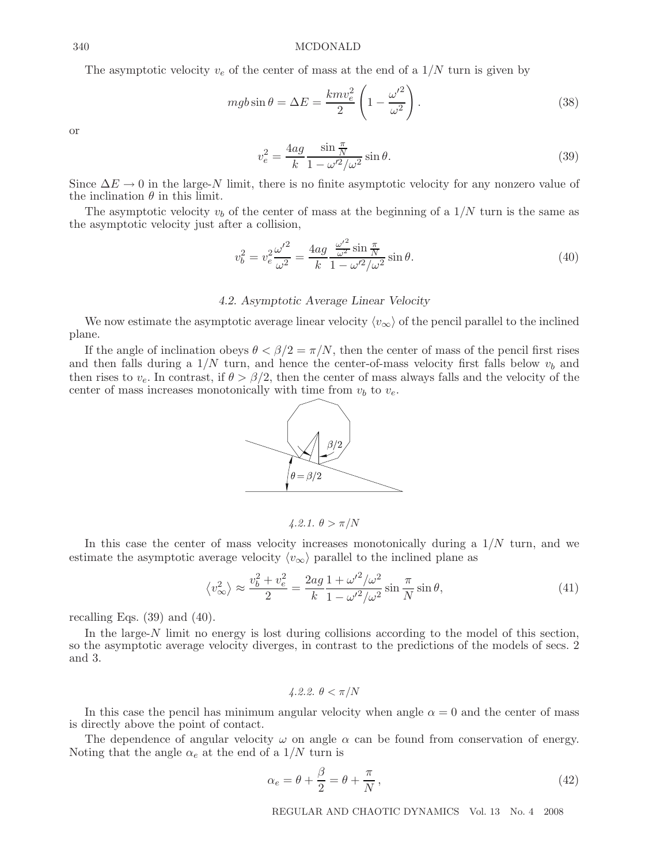#### 340 MCDONALD

The asymptotic velocity  $v_e$  of the center of mass at the end of a  $1/N$  turn is given by

$$
mgb\sin\theta = \Delta E = \frac{kmv_e^2}{2}\left(1 - \frac{\omega'^2}{\omega^2}\right). \tag{38}
$$

or

$$
v_e^2 = \frac{4ag}{k} \frac{\sin \frac{\pi}{N}}{1 - \omega'^2 / \omega^2} \sin \theta.
$$
 (39)

Since  $\Delta E \rightarrow 0$  in the large-N limit, there is no finite asymptotic velocity for any nonzero value of the inclination  $\theta$  in this limit.

The asymptotic velocity  $v<sub>b</sub>$  of the center of mass at the beginning of a  $1/N$  turn is the same as the asymptotic velocity just after a collision,

$$
v_b^2 = v_e^2 \frac{{\omega'}^2}{\omega^2} = \frac{4ag}{k} \frac{\frac{{\omega'}^2}{\omega^2} \sin \frac{\pi}{N}}{1 - {\omega'}^2 / {\omega^2}} \sin \theta.
$$
 (40)

#### *4.2. Asymptotic Average Linear Velocity*

We now estimate the asymptotic average linear velocity  $\langle v_{\infty} \rangle$  of the pencil parallel to the inclined plane.

If the angle of inclination obeys  $\theta < \beta/2 = \pi/N$ , then the center of mass of the pencil first rises and then falls during a  $1/N$  turn, and hence the center-of-mass velocity first falls below  $v<sub>b</sub>$  and then rises to  $v_e$ . In contrast, if  $\theta > \beta/2$ , then the center of mass always falls and the velocity of the center of mass increases monotonically with time from  $v_b$  to  $v_e$ .



 $4.2.1. \theta > \pi/N$ 

In this case the center of mass velocity increases monotonically during a  $1/N$  turn, and we estimate the asymptotic average velocity  $\langle v_{\infty} \rangle$  parallel to the inclined plane as

$$
\langle v_{\infty}^2 \rangle \approx \frac{v_b^2 + v_e^2}{2} = \frac{2ag}{k} \frac{1 + \omega'^2 / \omega^2}{1 - \omega'^2 / \omega^2} \sin \frac{\pi}{N} \sin \theta, \tag{41}
$$

recalling Eqs.  $(39)$  and  $(40)$ .

In the large-N limit no energy is lost during collisions according to the model of this section, so the asymptotic average velocity diverges, in contrast to the predictions of the models of secs. 2 and 3.

4.2.2. 
$$
\theta < \pi/N
$$

In this case the pencil has minimum angular velocity when angle  $\alpha = 0$  and the center of mass is directly above the point of contact.

The dependence of angular velocity  $\omega$  on angle  $\alpha$  can be found from conservation of energy. Noting that the angle  $\alpha_e$  at the end of a  $1/N$  turn is

$$
\alpha_e = \theta + \frac{\beta}{2} = \theta + \frac{\pi}{N},\tag{42}
$$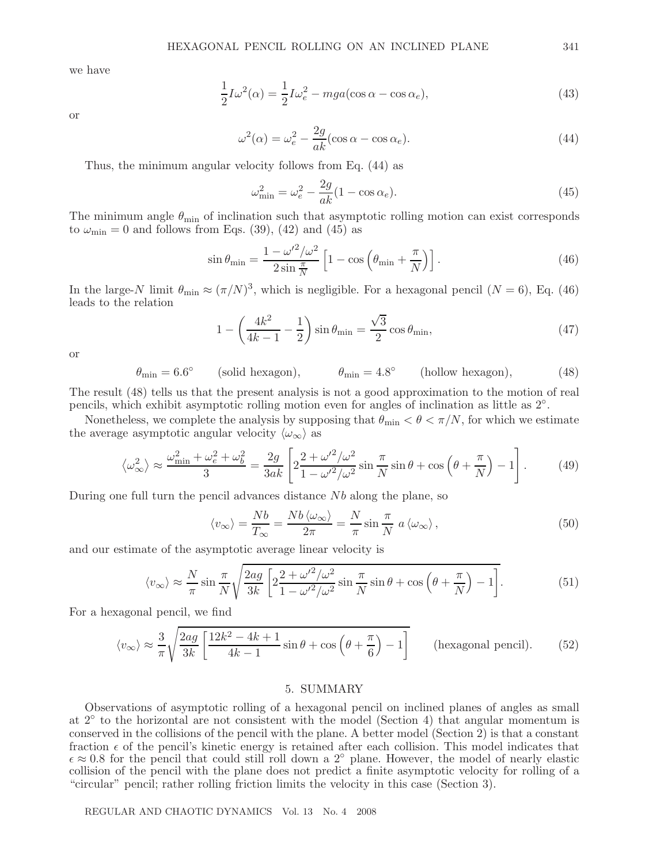we have

$$
\frac{1}{2}I\omega^2(\alpha) = \frac{1}{2}I\omega_e^2 - mga(\cos\alpha - \cos\alpha_e),\tag{43}
$$

or

$$
\omega^2(\alpha) = \omega_e^2 - \frac{2g}{ak}(\cos \alpha - \cos \alpha_e). \tag{44}
$$

Thus, the minimum angular velocity follows from Eq. (44) as

$$
\omega_{\min}^2 = \omega_e^2 - \frac{2g}{ak}(1 - \cos \alpha_e). \tag{45}
$$

The minimum angle  $\theta_{\min}$  of inclination such that asymptotic rolling motion can exist corresponds to  $\omega_{\rm min} = 0$  and follows from Eqs. (39), (42) and (45) as

$$
\sin \theta_{\min} = \frac{1 - \omega'^2 / \omega^2}{2 \sin \frac{\pi}{N}} \left[ 1 - \cos \left( \theta_{\min} + \frac{\pi}{N} \right) \right]. \tag{46}
$$

In the large-N limit  $\theta_{\min} \approx (\pi/N)^3$ , which is negligible. For a hexagonal pencil  $(N = 6)$ , Eq. (46) leads to the relation

$$
1 - \left(\frac{4k^2}{4k - 1} - \frac{1}{2}\right) \sin \theta_{\min} = \frac{\sqrt{3}}{2} \cos \theta_{\min},\tag{47}
$$

or

$$
\theta_{\min} = 6.6^{\circ} \qquad \text{(solid hexagon)}, \qquad \theta_{\min} = 4.8^{\circ} \qquad \text{(hollow hexagon)}, \tag{48}
$$

The result (48) tells us that the present analysis is not a good approximation to the motion of real pencils, which exhibit asymptotic rolling motion even for angles of inclination as little as 2◦.

Nonetheless, we complete the analysis by supposing that  $\theta_{\min} < \theta < \pi/N$ , for which we estimate the average asymptotic angular velocity  $\langle \omega_{\infty} \rangle$  as

$$
\left\langle \omega_{\infty}^{2} \right\rangle \approx \frac{\omega_{\min}^{2} + \omega_{e}^{2} + \omega_{b}^{2}}{3} = \frac{2g}{3ak} \left[ 2 \frac{2 + \omega'^{2} / \omega^{2}}{1 - \omega'^{2} / \omega^{2}} \sin \frac{\pi}{N} \sin \theta + \cos \left( \theta + \frac{\pi}{N} \right) - 1 \right]. \tag{49}
$$

During one full turn the pencil advances distance Nb along the plane, so

$$
\langle v_{\infty} \rangle = \frac{Nb}{T_{\infty}} = \frac{Nb \langle \omega_{\infty} \rangle}{2\pi} = \frac{N}{\pi} \sin \frac{\pi}{N} a \langle \omega_{\infty} \rangle, \qquad (50)
$$

and our estimate of the asymptotic average linear velocity is

$$
\langle v_{\infty} \rangle \approx \frac{N}{\pi} \sin \frac{\pi}{N} \sqrt{\frac{2ag}{3k} \left[ 2 \frac{2 + \omega'^2 / \omega^2}{1 - \omega'^2 / \omega^2} \sin \frac{\pi}{N} \sin \theta + \cos \left( \theta + \frac{\pi}{N} \right) - 1 \right]}.
$$
 (51)

For a hexagonal pencil, we find

$$
\langle v_{\infty} \rangle \approx \frac{3}{\pi} \sqrt{\frac{2ag}{3k} \left[ \frac{12k^2 - 4k + 1}{4k - 1} \sin \theta + \cos \left( \theta + \frac{\pi}{6} \right) - 1 \right]}
$$
 (hexagonal pencil). (52)

#### 5. SUMMARY

Observations of asymptotic rolling of a hexagonal pencil on inclined planes of angles as small at  $2<sup>°</sup>$  to the horizontal are not consistent with the model (Section 4) that angular momentum is conserved in the collisions of the pencil with the plane. A better model (Section 2) is that a constant fraction  $\epsilon$  of the pencil's kinetic energy is retained after each collision. This model indicates that  $\epsilon \approx 0.8$  for the pencil that could still roll down a 2<sup>°</sup> plane. However, the model of nearly elastic collision of the pencil with the plane does not predict a finite asymptotic velocity for rolling of a "circular" pencil; rather rolling friction limits the velocity in this case (Section 3).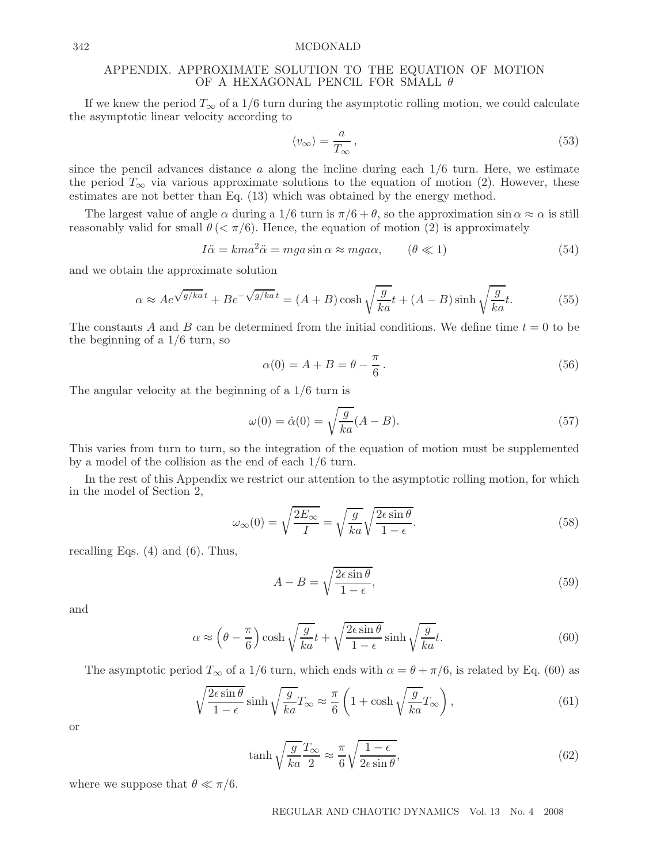#### 342 MCDONALD

## APPENDIX. APPROXIMATE SOLUTION TO THE EQUATION OF MOTION OF A HEXAGONAL PENCIL FOR SMALL  $\theta$

If we knew the period  $T_{\infty}$  of a 1/6 turn during the asymptotic rolling motion, we could calculate the asymptotic linear velocity according to

$$
\langle v_{\infty} \rangle = \frac{a}{T_{\infty}},\tag{53}
$$

since the pencil advances distance a along the incline during each  $1/6$  turn. Here, we estimate the period  $T_{\infty}$  via various approximate solutions to the equation of motion (2). However, these estimates are not better than Eq. (13) which was obtained by the energy method.

The largest value of angle  $\alpha$  during a 1/6 turn is  $\pi/6 + \theta$ , so the approximation sin  $\alpha \approx \alpha$  is still reasonably valid for small  $\theta \ll \pi/6$ . Hence, the equation of motion (2) is approximately

$$
I\ddot{\alpha} = kma^2\ddot{\alpha} = mga\sin\alpha \approx mga\alpha, \qquad (\theta \ll 1)
$$
\n(54)

and we obtain the approximate solution

$$
\alpha \approx Ae^{\sqrt{g/ka}t} + Be^{-\sqrt{g/ka}t} = (A+B)\cosh\sqrt{\frac{g}{ka}}t + (A-B)\sinh\sqrt{\frac{g}{ka}}t.
$$
 (55)

The constants A and B can be determined from the initial conditions. We define time  $t = 0$  to be the beginning of a 1/6 turn, so

$$
\alpha(0) = A + B = \theta - \frac{\pi}{6}.
$$
\n
$$
(56)
$$

The angular velocity at the beginning of a 1/6 turn is

$$
\omega(0) = \dot{\alpha}(0) = \sqrt{\frac{g}{ka}}(A - B). \tag{57}
$$

This varies from turn to turn, so the integration of the equation of motion must be supplemented by a model of the collision as the end of each 1/6 turn.

In the rest of this Appendix we restrict our attention to the asymptotic rolling motion, for which in the model of Section 2,

$$
\omega_{\infty}(0) = \sqrt{\frac{2E_{\infty}}{I}} = \sqrt{\frac{g}{ka}} \sqrt{\frac{2\epsilon \sin \theta}{1 - \epsilon}}.
$$
\n(58)

recalling Eqs. (4) and (6). Thus,

$$
A - B = \sqrt{\frac{2\epsilon \sin \theta}{1 - \epsilon}},\tag{59}
$$

and

$$
\alpha \approx \left(\theta - \frac{\pi}{6}\right) \cosh\sqrt{\frac{g}{ka}}t + \sqrt{\frac{2\epsilon \sin\theta}{1-\epsilon}} \sinh\sqrt{\frac{g}{ka}}t. \tag{60}
$$

The asymptotic period  $T_{\infty}$  of a 1/6 turn, which ends with  $\alpha = \theta + \pi/6$ , is related by Eq. (60) as

$$
\sqrt{\frac{2\epsilon \sin \theta}{1 - \epsilon}} \sinh \sqrt{\frac{g}{ka}} T_{\infty} \approx \frac{\pi}{6} \left( 1 + \cosh \sqrt{\frac{g}{ka}} T_{\infty} \right),\tag{61}
$$

or

$$
\tanh\sqrt{\frac{g}{ka}}\frac{T_{\infty}}{2} \approx \frac{\pi}{6}\sqrt{\frac{1-\epsilon}{2\epsilon\sin\theta}},\tag{62}
$$

where we suppose that  $\theta \ll \pi/6$ .